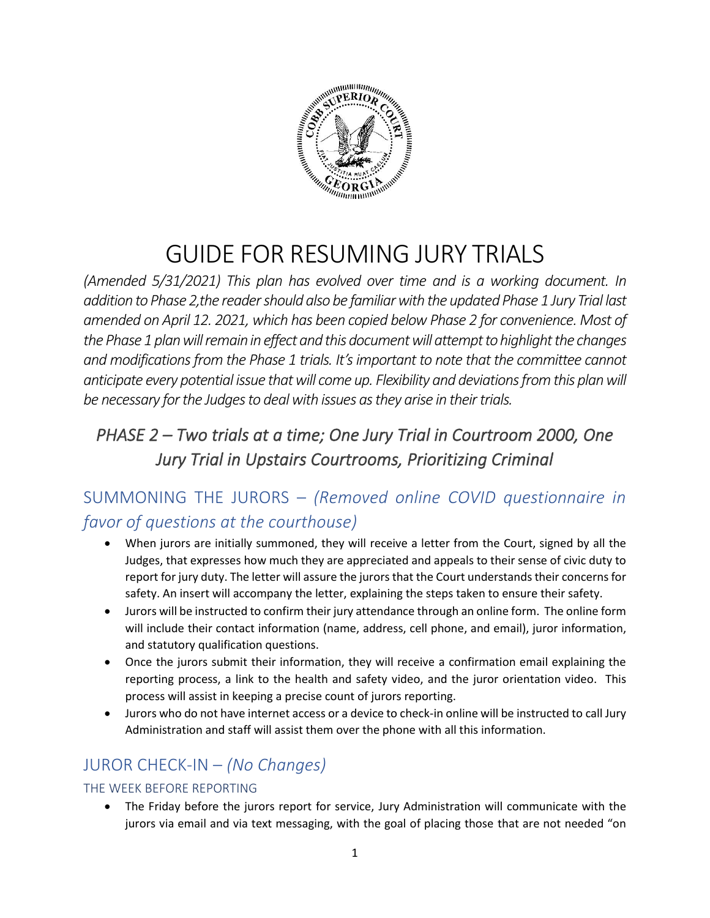

# GUIDE FOR RESUMING JURY TRIALS

*(Amended 5/31/2021) This plan has evolved over time and is a working document. In addition to Phase 2,the reader should also be familiar with the updated Phase 1 Jury Trial last amended on April 12. 2021, which has been copied below Phase 2 for convenience. Most of the Phase 1plan will remain in effect and this document will attempt to highlight the changes and modifications from the Phase 1 trials. It's important to note that the committee cannot anticipate every potential issue that will come up. Flexibility and deviations from this plan will be necessary for the Judges to deal with issues as they arise in their trials.*

# *PHASE 2 – Two trials at a time; One Jury Trial in Courtroom 2000, One Jury Trial in Upstairs Courtrooms, Prioritizing Criminal*

# SUMMONING THE JURORS – *(Removed online COVID questionnaire in favor of questions at the courthouse)*

- When jurors are initially summoned, they will receive a letter from the Court, signed by all the Judges, that expresses how much they are appreciated and appeals to their sense of civic duty to report for jury duty. The letter will assure the jurors that the Court understands their concerns for safety. An insert will accompany the letter, explaining the steps taken to ensure their safety.
- Jurors will be instructed to confirm their jury attendance through an online form. The online form will include their contact information (name, address, cell phone, and email), juror information, and statutory qualification questions.
- Once the jurors submit their information, they will receive a confirmation email explaining the reporting process, a link to the health and safety video, and the juror orientation video. This process will assist in keeping a precise count of jurors reporting.
- Jurors who do not have internet access or a device to check-in online will be instructed to call Jury Administration and staff will assist them over the phone with all this information.

## JUROR CHECK-IN – *(No Changes)*

#### THE WEEK BEFORE REPORTING

• The Friday before the jurors report for service, Jury Administration will communicate with the jurors via email and via text messaging, with the goal of placing those that are not needed "on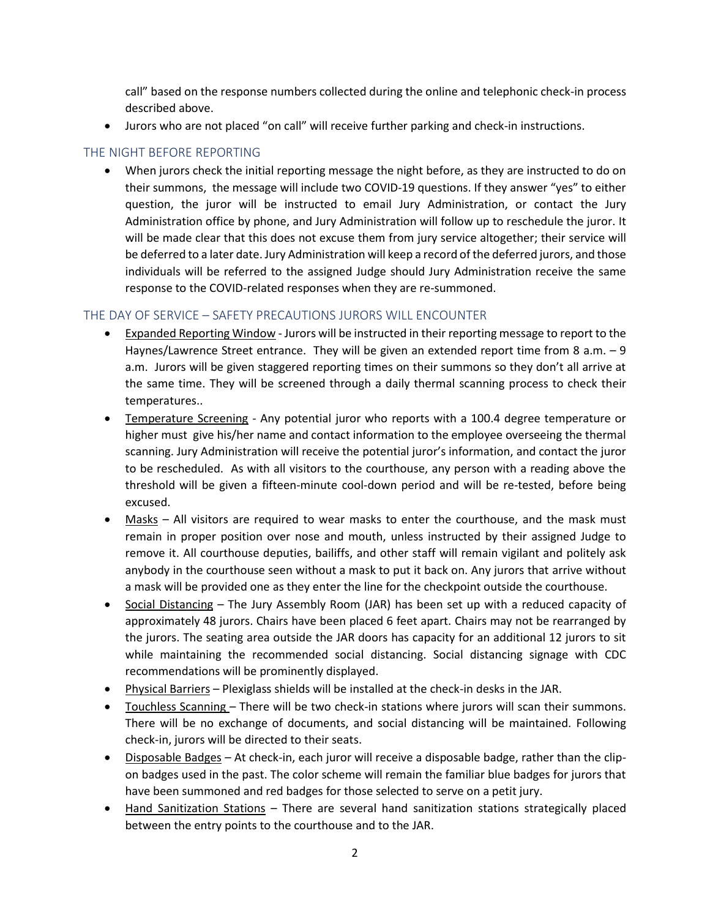call" based on the response numbers collected during the online and telephonic check-in process described above.

• Jurors who are not placed "on call" will receive further parking and check-in instructions.

#### THE NIGHT BEFORE REPORTING

• When jurors check the initial reporting message the night before, as they are instructed to do on their summons, the message will include two COVID-19 questions. If they answer "yes" to either question, the juror will be instructed to email Jury Administration, or contact the Jury Administration office by phone, and Jury Administration will follow up to reschedule the juror. It will be made clear that this does not excuse them from jury service altogether; their service will be deferred to a later date. Jury Administration will keep a record of the deferred jurors, and those individuals will be referred to the assigned Judge should Jury Administration receive the same response to the COVID-related responses when they are re-summoned.

#### THE DAY OF SERVICE – SAFETY PRECAUTIONS JURORS WILL ENCOUNTER

- Expanded Reporting Window Jurors will be instructed in their reporting message to report to the Haynes/Lawrence Street entrance. They will be given an extended report time from 8 a.m. - 9 a.m. Jurors will be given staggered reporting times on their summons so they don't all arrive at the same time. They will be screened through a daily thermal scanning process to check their temperatures..
- Temperature Screening Any potential juror who reports with a 100.4 degree temperature or higher must give his/her name and contact information to the employee overseeing the thermal scanning. Jury Administration will receive the potential juror's information, and contact the juror to be rescheduled. As with all visitors to the courthouse, any person with a reading above the threshold will be given a fifteen-minute cool-down period and will be re-tested, before being excused.
- Masks All visitors are required to wear masks to enter the courthouse, and the mask must remain in proper position over nose and mouth, unless instructed by their assigned Judge to remove it. All courthouse deputies, bailiffs, and other staff will remain vigilant and politely ask anybody in the courthouse seen without a mask to put it back on. Any jurors that arrive without a mask will be provided one as they enter the line for the checkpoint outside the courthouse.
- Social Distancing The Jury Assembly Room (JAR) has been set up with a reduced capacity of approximately 48 jurors. Chairs have been placed 6 feet apart. Chairs may not be rearranged by the jurors. The seating area outside the JAR doors has capacity for an additional 12 jurors to sit while maintaining the recommended social distancing. Social distancing signage with CDC recommendations will be prominently displayed.
- Physical Barriers Plexiglass shields will be installed at the check-in desks in the JAR.
- Touchless Scanning There will be two check-in stations where jurors will scan their summons. There will be no exchange of documents, and social distancing will be maintained. Following check-in, jurors will be directed to their seats.
- Disposable Badges At check-in, each juror will receive a disposable badge, rather than the clipon badges used in the past. The color scheme will remain the familiar blue badges for jurors that have been summoned and red badges for those selected to serve on a petit jury.
- Hand Sanitization Stations There are several hand sanitization stations strategically placed between the entry points to the courthouse and to the JAR.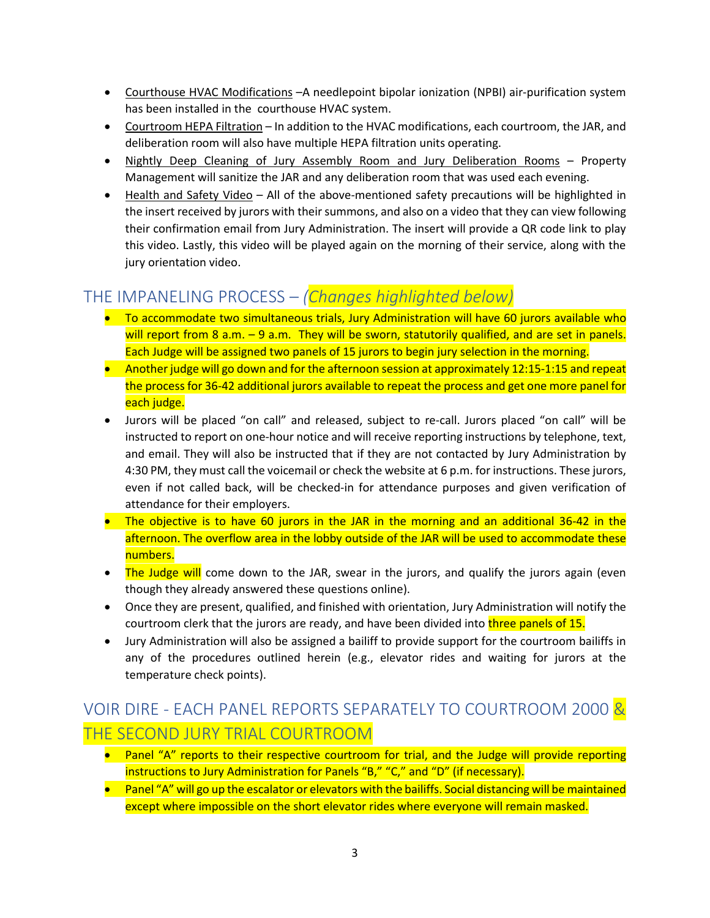- Courthouse HVAC Modifications –A needlepoint bipolar ionization (NPBI) air-purification system has been installed in the courthouse HVAC system.
- Courtroom HEPA Filtration In addition to the HVAC modifications, each courtroom, the JAR, and deliberation room will also have multiple HEPA filtration units operating.
- Nightly Deep Cleaning of Jury Assembly Room and Jury Deliberation Rooms Property Management will sanitize the JAR and any deliberation room that was used each evening.
- Health and Safety Video All of the above-mentioned safety precautions will be highlighted in the insert received by jurors with their summons, and also on a video that they can view following their confirmation email from Jury Administration. The insert will provide a QR code link to play this video. Lastly, this video will be played again on the morning of their service, along with the jury orientation video.

# THE IMPANELING PROCESS – *(Changes highlighted below)*

- To accommodate two simultaneous trials, Jury Administration will have 60 jurors available who will report from 8 a.m. - 9 a.m. They will be sworn, statutorily qualified, and are set in panels. Each Judge will be assigned two panels of 15 jurors to begin jury selection in the morning.
- Another judge will go down and for the afternoon session at approximately 12:15-1:15 and repeat the process for 36-42 additional jurors available to repeat the process and get one more panel for each judge.
- Jurors will be placed "on call" and released, subject to re-call. Jurors placed "on call" will be instructed to report on one-hour notice and will receive reporting instructions by telephone, text, and email. They will also be instructed that if they are not contacted by Jury Administration by 4:30 PM, they must call the voicemail or check the website at 6 p.m. for instructions. These jurors, even if not called back, will be checked-in for attendance purposes and given verification of attendance for their employers.
- The objective is to have 60 jurors in the JAR in the morning and an additional 36-42 in the afternoon. The overflow area in the lobby outside of the JAR will be used to accommodate these numbers.
- The Judge will come down to the JAR, swear in the jurors, and qualify the jurors again (even though they already answered these questions online).
- Once they are present, qualified, and finished with orientation, Jury Administration will notify the courtroom clerk that the jurors are ready, and have been divided into three panels of 15.
- Jury Administration will also be assigned a bailiff to provide support for the courtroom bailiffs in any of the procedures outlined herein (e.g., elevator rides and waiting for jurors at the temperature check points).

# VOIR DIRE - EACH PANEL REPORTS SEPARATELY TO COURTROOM 2000 & THE SECOND JURY TRIAL COURTROOM

- Panel "A" reports to their respective courtroom for trial, and the Judge will provide reporting instructions to Jury Administration for Panels "B," "C," and "D" (if necessary).
- Panel "A" will go up the escalator or elevators with the bailiffs. Social distancing will be maintained except where impossible on the short elevator rides where everyone will remain masked.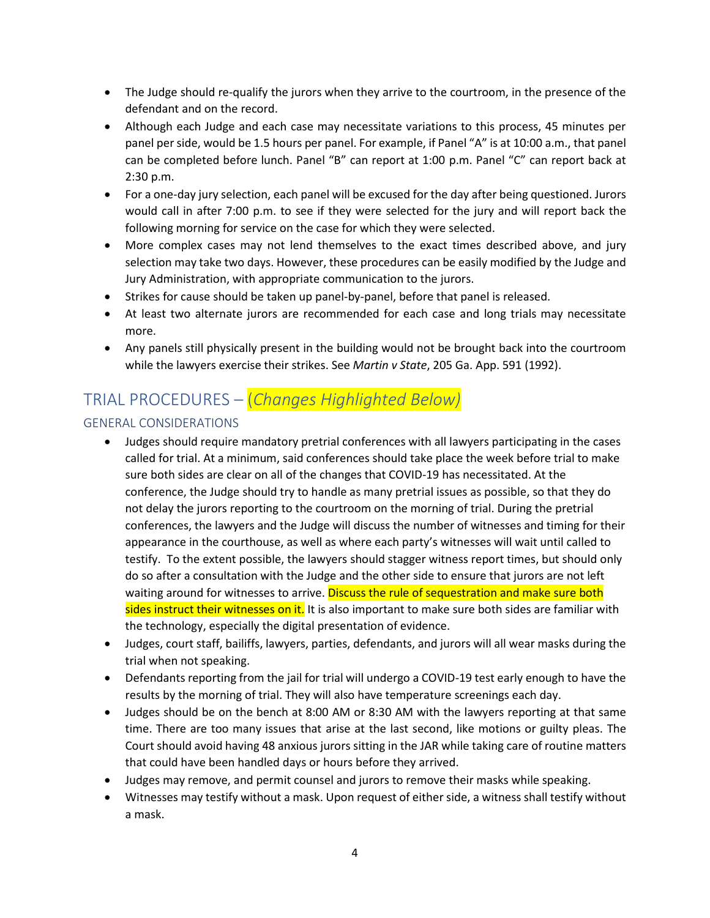- The Judge should re-qualify the jurors when they arrive to the courtroom, in the presence of the defendant and on the record.
- Although each Judge and each case may necessitate variations to this process, 45 minutes per panel per side, would be 1.5 hours per panel. For example, if Panel "A" is at 10:00 a.m., that panel can be completed before lunch. Panel "B" can report at 1:00 p.m. Panel "C" can report back at 2:30 p.m.
- For a one-day jury selection, each panel will be excused for the day after being questioned. Jurors would call in after 7:00 p.m. to see if they were selected for the jury and will report back the following morning for service on the case for which they were selected.
- More complex cases may not lend themselves to the exact times described above, and jury selection may take two days. However, these procedures can be easily modified by the Judge and Jury Administration, with appropriate communication to the jurors.
- Strikes for cause should be taken up panel-by-panel, before that panel is released.
- At least two alternate jurors are recommended for each case and long trials may necessitate more.
- Any panels still physically present in the building would not be brought back into the courtroom while the lawyers exercise their strikes. See *Martin v State*, 205 Ga. App. 591 (1992).

# TRIAL PROCEDURES – (*Changes Highlighted Below)*

#### GENERAL CONSIDERATIONS

- Judges should require mandatory pretrial conferences with all lawyers participating in the cases called for trial. At a minimum, said conferences should take place the week before trial to make sure both sides are clear on all of the changes that COVID-19 has necessitated. At the conference, the Judge should try to handle as many pretrial issues as possible, so that they do not delay the jurors reporting to the courtroom on the morning of trial. During the pretrial conferences, the lawyers and the Judge will discuss the number of witnesses and timing for their appearance in the courthouse, as well as where each party's witnesses will wait until called to testify. To the extent possible, the lawyers should stagger witness report times, but should only do so after a consultation with the Judge and the other side to ensure that jurors are not left waiting around for witnesses to arrive. Discuss the rule of sequestration and make sure both sides instruct their witnesses on it. It is also important to make sure both sides are familiar with the technology, especially the digital presentation of evidence.
- Judges, court staff, bailiffs, lawyers, parties, defendants, and jurors will all wear masks during the trial when not speaking.
- Defendants reporting from the jail for trial will undergo a COVID-19 test early enough to have the results by the morning of trial. They will also have temperature screenings each day.
- Judges should be on the bench at 8:00 AM or 8:30 AM with the lawyers reporting at that same time. There are too many issues that arise at the last second, like motions or guilty pleas. The Court should avoid having 48 anxious jurors sitting in the JAR while taking care of routine matters that could have been handled days or hours before they arrived.
- Judges may remove, and permit counsel and jurors to remove their masks while speaking.
- Witnesses may testify without a mask. Upon request of either side, a witness shall testify without a mask.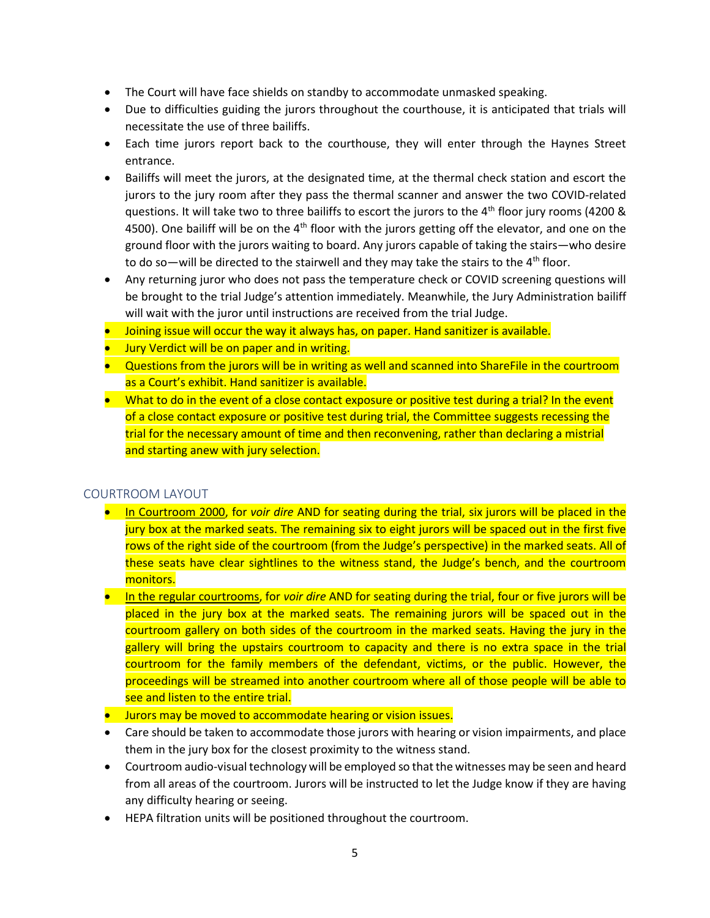- The Court will have face shields on standby to accommodate unmasked speaking.
- Due to difficulties guiding the jurors throughout the courthouse, it is anticipated that trials will necessitate the use of three bailiffs.
- Each time jurors report back to the courthouse, they will enter through the Haynes Street entrance.
- Bailiffs will meet the jurors, at the designated time, at the thermal check station and escort the jurors to the jury room after they pass the thermal scanner and answer the two COVID-related questions. It will take two to three bailiffs to escort the jurors to the 4th floor jury rooms (4200 & 4500). One bailiff will be on the  $4<sup>th</sup>$  floor with the jurors getting off the elevator, and one on the ground floor with the jurors waiting to board. Any jurors capable of taking the stairs—who desire to do so—will be directed to the stairwell and they may take the stairs to the  $4<sup>th</sup>$  floor.
- Any returning juror who does not pass the temperature check or COVID screening questions will be brought to the trial Judge's attention immediately. Meanwhile, the Jury Administration bailiff will wait with the juror until instructions are received from the trial Judge.
- **Joining issue will occur the way it always has, on paper. Hand sanitizer is available.**
- Jury Verdict will be on paper and in writing.
- Questions from the jurors will be in writing as well and scanned into ShareFile in the courtroom as a Court's exhibit. Hand sanitizer is available.
- What to do in the event of a close contact exposure or positive test during a trial? In the event of a close contact exposure or positive test during trial, the Committee suggests recessing the trial for the necessary amount of time and then reconvening, rather than declaring a mistrial and starting anew with jury selection.

#### COURTROOM LAYOUT

- In Courtroom 2000, for *voir dire* AND for seating during the trial, six jurors will be placed in the jury box at the marked seats. The remaining six to eight jurors will be spaced out in the first five rows of the right side of the courtroom (from the Judge's perspective) in the marked seats. All of these seats have clear sightlines to the witness stand, the Judge's bench, and the courtroom monitors.
- In the regular courtrooms, for *voir dire* AND for seating during the trial, four or five jurors will be placed in the jury box at the marked seats. The remaining jurors will be spaced out in the courtroom gallery on both sides of the courtroom in the marked seats. Having the jury in the gallery will bring the upstairs courtroom to capacity and there is no extra space in the trial courtroom for the family members of the defendant, victims, or the public. However, the proceedings will be streamed into another courtroom where all of those people will be able to see and listen to the entire trial.
- Jurors may be moved to accommodate hearing or vision issues.
- Care should be taken to accommodate those jurors with hearing or vision impairments, and place them in the jury box for the closest proximity to the witness stand.
- Courtroom audio-visual technology will be employed so that the witnesses may be seen and heard from all areas of the courtroom. Jurors will be instructed to let the Judge know if they are having any difficulty hearing or seeing.
- HEPA filtration units will be positioned throughout the courtroom.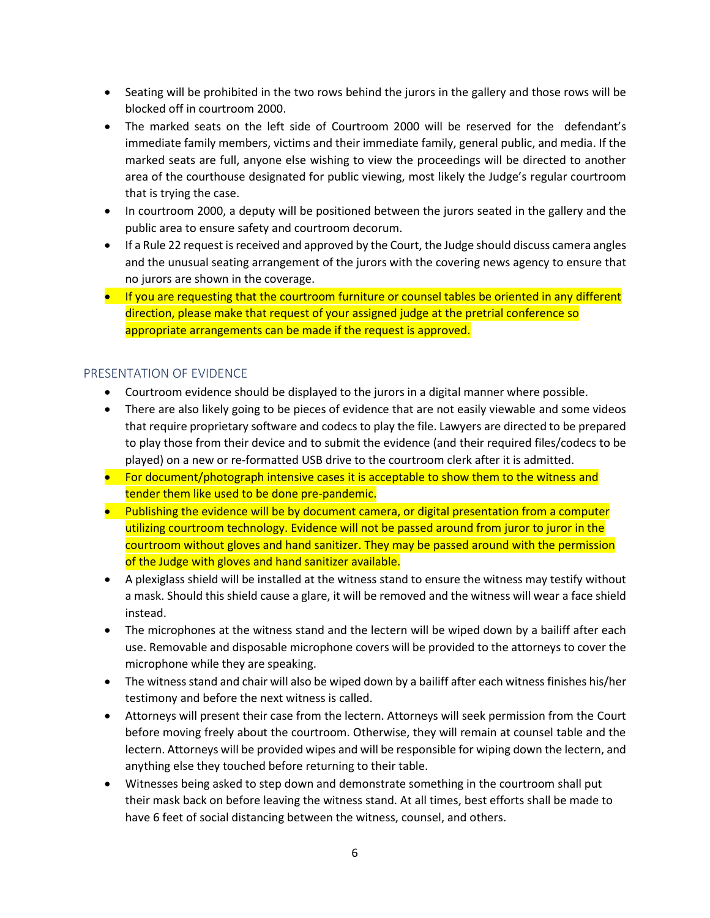- Seating will be prohibited in the two rows behind the jurors in the gallery and those rows will be blocked off in courtroom 2000.
- The marked seats on the left side of Courtroom 2000 will be reserved for the defendant's immediate family members, victims and their immediate family, general public, and media. If the marked seats are full, anyone else wishing to view the proceedings will be directed to another area of the courthouse designated for public viewing, most likely the Judge's regular courtroom that is trying the case.
- In courtroom 2000, a deputy will be positioned between the jurors seated in the gallery and the public area to ensure safety and courtroom decorum.
- If a Rule 22 request is received and approved by the Court, the Judge should discuss camera angles and the unusual seating arrangement of the jurors with the covering news agency to ensure that no jurors are shown in the coverage.
- If you are requesting that the courtroom furniture or counsel tables be oriented in any different direction, please make that request of your assigned judge at the pretrial conference so appropriate arrangements can be made if the request is approved.

#### PRESENTATION OF EVIDENCE

- Courtroom evidence should be displayed to the jurors in a digital manner where possible.
- There are also likely going to be pieces of evidence that are not easily viewable and some videos that require proprietary software and codecs to play the file. Lawyers are directed to be prepared to play those from their device and to submit the evidence (and their required files/codecs to be played) on a new or re-formatted USB drive to the courtroom clerk after it is admitted.
- For document/photograph intensive cases it is acceptable to show them to the witness and tender them like used to be done pre-pandemic.
- Publishing the evidence will be by document camera, or digital presentation from a computer utilizing courtroom technology. Evidence will not be passed around from juror to juror in the courtroom without gloves and hand sanitizer. They may be passed around with the permission of the Judge with gloves and hand sanitizer available.
- A plexiglass shield will be installed at the witness stand to ensure the witness may testify without a mask. Should this shield cause a glare, it will be removed and the witness will wear a face shield instead.
- The microphones at the witness stand and the lectern will be wiped down by a bailiff after each use. Removable and disposable microphone covers will be provided to the attorneys to cover the microphone while they are speaking.
- The witness stand and chair will also be wiped down by a bailiff after each witness finishes his/her testimony and before the next witness is called.
- Attorneys will present their case from the lectern. Attorneys will seek permission from the Court before moving freely about the courtroom. Otherwise, they will remain at counsel table and the lectern. Attorneys will be provided wipes and will be responsible for wiping down the lectern, and anything else they touched before returning to their table.
- Witnesses being asked to step down and demonstrate something in the courtroom shall put their mask back on before leaving the witness stand. At all times, best efforts shall be made to have 6 feet of social distancing between the witness, counsel, and others.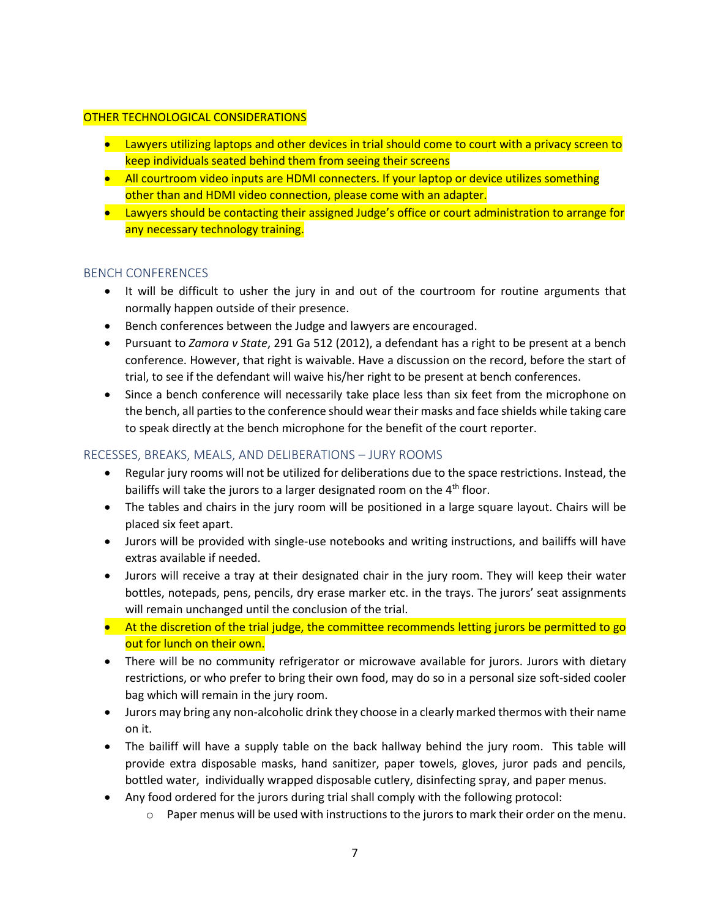#### OTHER TECHNOLOGICAL CONSIDERATIONS

- Lawyers utilizing laptops and other devices in trial should come to court with a privacy screen to keep individuals seated behind them from seeing their screens
- All courtroom video inputs are HDMI connecters. If your laptop or device utilizes something other than and HDMI video connection, please come with an adapter.
- Lawyers should be contacting their assigned Judge's office or court administration to arrange for any necessary technology training.

#### BENCH CONFERENCES

- It will be difficult to usher the jury in and out of the courtroom for routine arguments that normally happen outside of their presence.
- Bench conferences between the Judge and lawyers are encouraged.
- Pursuant to *Zamora v State*, 291 Ga 512 (2012), a defendant has a right to be present at a bench conference. However, that right is waivable. Have a discussion on the record, before the start of trial, to see if the defendant will waive his/her right to be present at bench conferences.
- Since a bench conference will necessarily take place less than six feet from the microphone on the bench, all parties to the conference should wear their masks and face shields while taking care to speak directly at the bench microphone for the benefit of the court reporter.

#### RECESSES, BREAKS, MEALS, AND DELIBERATIONS – JURY ROOMS

- Regular jury rooms will not be utilized for deliberations due to the space restrictions. Instead, the bailiffs will take the jurors to a larger designated room on the 4<sup>th</sup> floor.
- The tables and chairs in the jury room will be positioned in a large square layout. Chairs will be placed six feet apart.
- Jurors will be provided with single-use notebooks and writing instructions, and bailiffs will have extras available if needed.
- Jurors will receive a tray at their designated chair in the jury room. They will keep their water bottles, notepads, pens, pencils, dry erase marker etc. in the trays. The jurors' seat assignments will remain unchanged until the conclusion of the trial.
- At the discretion of the trial judge, the committee recommends letting jurors be permitted to go out for lunch on their own.
- There will be no community refrigerator or microwave available for jurors. Jurors with dietary restrictions, or who prefer to bring their own food, may do so in a personal size soft-sided cooler bag which will remain in the jury room.
- Jurors may bring any non-alcoholic drink they choose in a clearly marked thermos with their name on it.
- The bailiff will have a supply table on the back hallway behind the jury room. This table will provide extra disposable masks, hand sanitizer, paper towels, gloves, juror pads and pencils, bottled water, individually wrapped disposable cutlery, disinfecting spray, and paper menus.
- Any food ordered for the jurors during trial shall comply with the following protocol:
	- $\circ$  Paper menus will be used with instructions to the jurors to mark their order on the menu.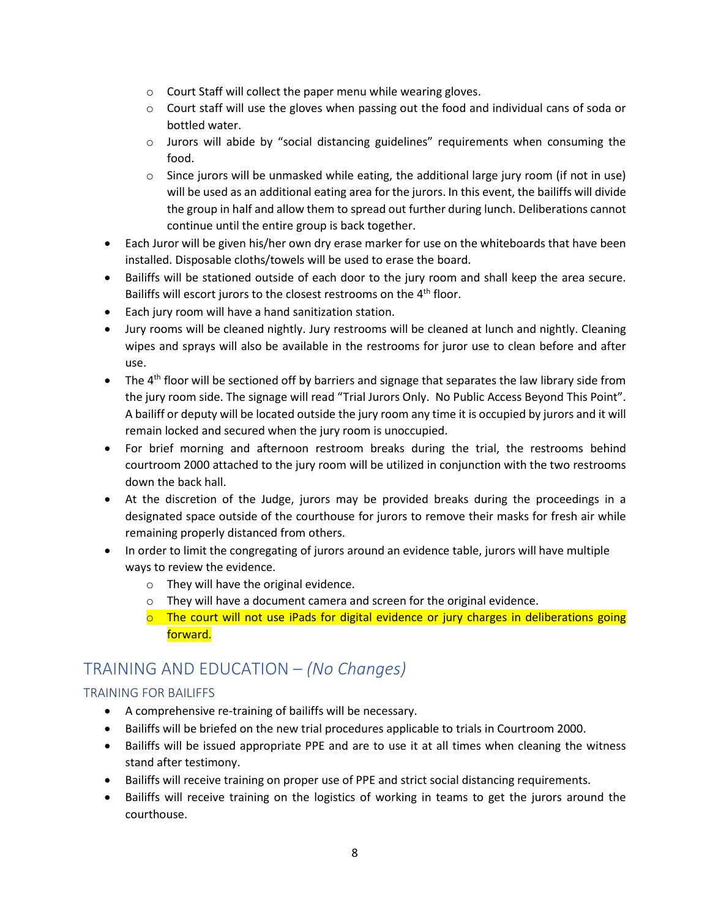- o Court Staff will collect the paper menu while wearing gloves.
- $\circ$  Court staff will use the gloves when passing out the food and individual cans of soda or bottled water.
- o Jurors will abide by "social distancing guidelines" requirements when consuming the food.
- $\circ$  Since jurors will be unmasked while eating, the additional large jury room (if not in use) will be used as an additional eating area for the jurors. In this event, the bailiffs will divide the group in half and allow them to spread out further during lunch. Deliberations cannot continue until the entire group is back together.
- Each Juror will be given his/her own dry erase marker for use on the whiteboards that have been installed. Disposable cloths/towels will be used to erase the board.
- Bailiffs will be stationed outside of each door to the jury room and shall keep the area secure. Bailiffs will escort jurors to the closest restrooms on the 4<sup>th</sup> floor.
- Each jury room will have a hand sanitization station.
- Jury rooms will be cleaned nightly. Jury restrooms will be cleaned at lunch and nightly. Cleaning wipes and sprays will also be available in the restrooms for juror use to clean before and after use.
- The  $4<sup>th</sup>$  floor will be sectioned off by barriers and signage that separates the law library side from the jury room side. The signage will read "Trial Jurors Only. No Public Access Beyond This Point". A bailiff or deputy will be located outside the jury room any time it is occupied by jurors and it will remain locked and secured when the jury room is unoccupied.
- For brief morning and afternoon restroom breaks during the trial, the restrooms behind courtroom 2000 attached to the jury room will be utilized in conjunction with the two restrooms down the back hall.
- At the discretion of the Judge, jurors may be provided breaks during the proceedings in a designated space outside of the courthouse for jurors to remove their masks for fresh air while remaining properly distanced from others.
- In order to limit the congregating of jurors around an evidence table, jurors will have multiple ways to review the evidence.
	- o They will have the original evidence.
	- o They will have a document camera and screen for the original evidence.
	- $\circ$  The court will not use iPads for digital evidence or jury charges in deliberations going forward.

### TRAINING AND EDUCATION – *(No Changes)*

#### TRAINING FOR BAILIFFS

- A comprehensive re-training of bailiffs will be necessary.
- Bailiffs will be briefed on the new trial procedures applicable to trials in Courtroom 2000.
- Bailiffs will be issued appropriate PPE and are to use it at all times when cleaning the witness stand after testimony.
- Bailiffs will receive training on proper use of PPE and strict social distancing requirements.
- Bailiffs will receive training on the logistics of working in teams to get the jurors around the courthouse.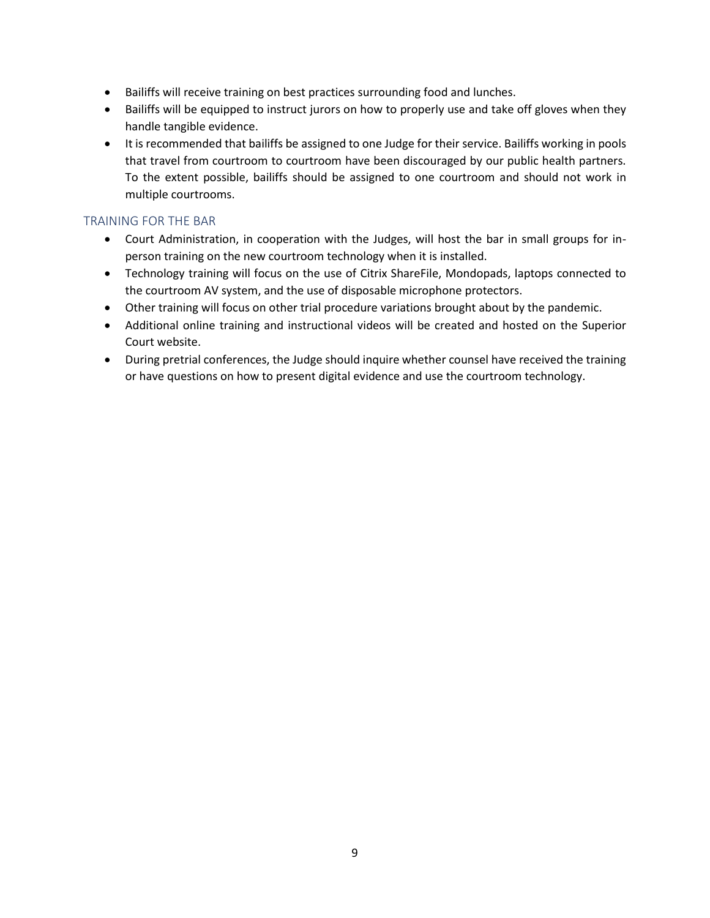- Bailiffs will receive training on best practices surrounding food and lunches.
- Bailiffs will be equipped to instruct jurors on how to properly use and take off gloves when they handle tangible evidence.
- It is recommended that bailiffs be assigned to one Judge for their service. Bailiffs working in pools that travel from courtroom to courtroom have been discouraged by our public health partners. To the extent possible, bailiffs should be assigned to one courtroom and should not work in multiple courtrooms.

#### TRAINING FOR THE BAR

- Court Administration, in cooperation with the Judges, will host the bar in small groups for inperson training on the new courtroom technology when it is installed.
- Technology training will focus on the use of Citrix ShareFile, Mondopads, laptops connected to the courtroom AV system, and the use of disposable microphone protectors.
- Other training will focus on other trial procedure variations brought about by the pandemic.
- Additional online training and instructional videos will be created and hosted on the Superior Court website.
- During pretrial conferences, the Judge should inquire whether counsel have received the training or have questions on how to present digital evidence and use the courtroom technology.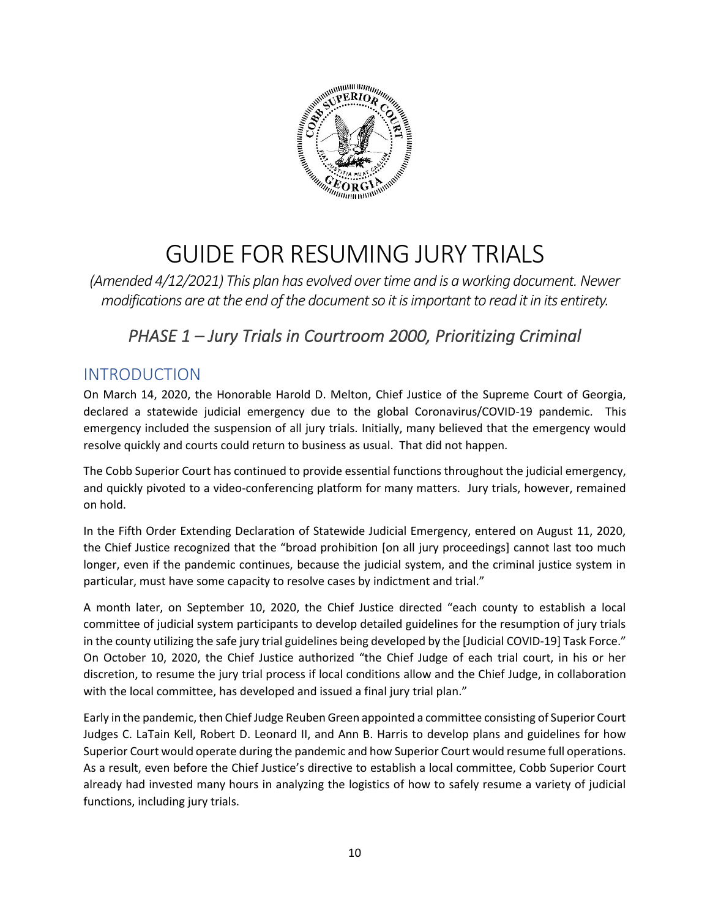

# GUIDE FOR RESUMING JURY TRIALS

*(Amended 4/12/2021) This plan has evolved over time and is a working document. Newer modifications are at the end of the document so it is important to read it in its entirety.*

# *PHASE 1 – Jury Trials in Courtroom 2000, Prioritizing Criminal*

### INTRODUCTION

On March 14, 2020, the Honorable Harold D. Melton, Chief Justice of the Supreme Court of Georgia, declared a statewide judicial emergency due to the global Coronavirus/COVID-19 pandemic. This emergency included the suspension of all jury trials. Initially, many believed that the emergency would resolve quickly and courts could return to business as usual. That did not happen.

The Cobb Superior Court has continued to provide essential functions throughout the judicial emergency, and quickly pivoted to a video-conferencing platform for many matters. Jury trials, however, remained on hold.

In the Fifth Order Extending Declaration of Statewide Judicial Emergency, entered on August 11, 2020, the Chief Justice recognized that the "broad prohibition [on all jury proceedings] cannot last too much longer, even if the pandemic continues, because the judicial system, and the criminal justice system in particular, must have some capacity to resolve cases by indictment and trial."

A month later, on September 10, 2020, the Chief Justice directed "each county to establish a local committee of judicial system participants to develop detailed guidelines for the resumption of jury trials in the county utilizing the safe jury trial guidelines being developed by the [Judicial COVID-19] Task Force." On October 10, 2020, the Chief Justice authorized "the Chief Judge of each trial court, in his or her discretion, to resume the jury trial process if local conditions allow and the Chief Judge, in collaboration with the local committee, has developed and issued a final jury trial plan."

Early in the pandemic, then Chief Judge Reuben Green appointed a committee consisting of Superior Court Judges C. LaTain Kell, Robert D. Leonard II, and Ann B. Harris to develop plans and guidelines for how Superior Court would operate during the pandemic and how Superior Court would resume full operations. As a result, even before the Chief Justice's directive to establish a local committee, Cobb Superior Court already had invested many hours in analyzing the logistics of how to safely resume a variety of judicial functions, including jury trials.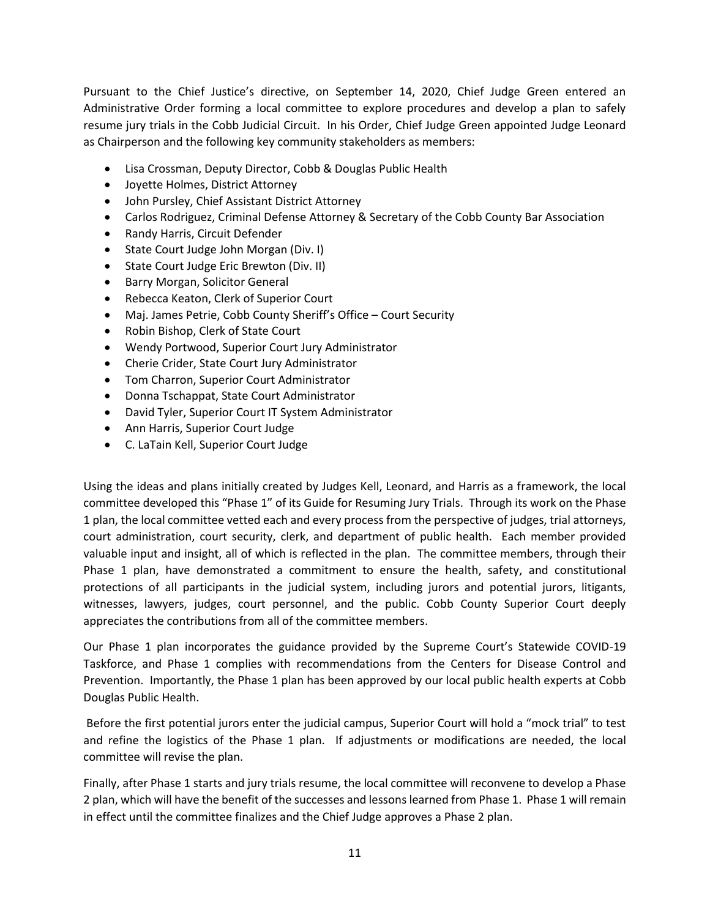Pursuant to the Chief Justice's directive, on September 14, 2020, Chief Judge Green entered an Administrative Order forming a local committee to explore procedures and develop a plan to safely resume jury trials in the Cobb Judicial Circuit. In his Order, Chief Judge Green appointed Judge Leonard as Chairperson and the following key community stakeholders as members:

- Lisa Crossman, Deputy Director, Cobb & Douglas Public Health
- Joyette Holmes, District Attorney
- John Pursley, Chief Assistant District Attorney
- Carlos Rodriguez, Criminal Defense Attorney & Secretary of the Cobb County Bar Association
- Randy Harris, Circuit Defender
- State Court Judge John Morgan (Div. I)
- State Court Judge Eric Brewton (Div. II)
- Barry Morgan, Solicitor General
- Rebecca Keaton, Clerk of Superior Court
- Maj. James Petrie, Cobb County Sheriff's Office Court Security
- Robin Bishop, Clerk of State Court
- Wendy Portwood, Superior Court Jury Administrator
- Cherie Crider, State Court Jury Administrator
- Tom Charron, Superior Court Administrator
- Donna Tschappat, State Court Administrator
- David Tyler, Superior Court IT System Administrator
- Ann Harris, Superior Court Judge
- C. LaTain Kell, Superior Court Judge

Using the ideas and plans initially created by Judges Kell, Leonard, and Harris as a framework, the local committee developed this "Phase 1" of its Guide for Resuming Jury Trials. Through its work on the Phase 1 plan, the local committee vetted each and every process from the perspective of judges, trial attorneys, court administration, court security, clerk, and department of public health. Each member provided valuable input and insight, all of which is reflected in the plan. The committee members, through their Phase 1 plan, have demonstrated a commitment to ensure the health, safety, and constitutional protections of all participants in the judicial system, including jurors and potential jurors, litigants, witnesses, lawyers, judges, court personnel, and the public. Cobb County Superior Court deeply appreciates the contributions from all of the committee members.

Our Phase 1 plan incorporates the guidance provided by the Supreme Court's Statewide COVID-19 Taskforce, and Phase 1 complies with recommendations from the Centers for Disease Control and Prevention. Importantly, the Phase 1 plan has been approved by our local public health experts at Cobb Douglas Public Health.

Before the first potential jurors enter the judicial campus, Superior Court will hold a "mock trial" to test and refine the logistics of the Phase 1 plan. If adjustments or modifications are needed, the local committee will revise the plan.

Finally, after Phase 1 starts and jury trials resume, the local committee will reconvene to develop a Phase 2 plan, which will have the benefit of the successes and lessons learned from Phase 1. Phase 1 will remain in effect until the committee finalizes and the Chief Judge approves a Phase 2 plan.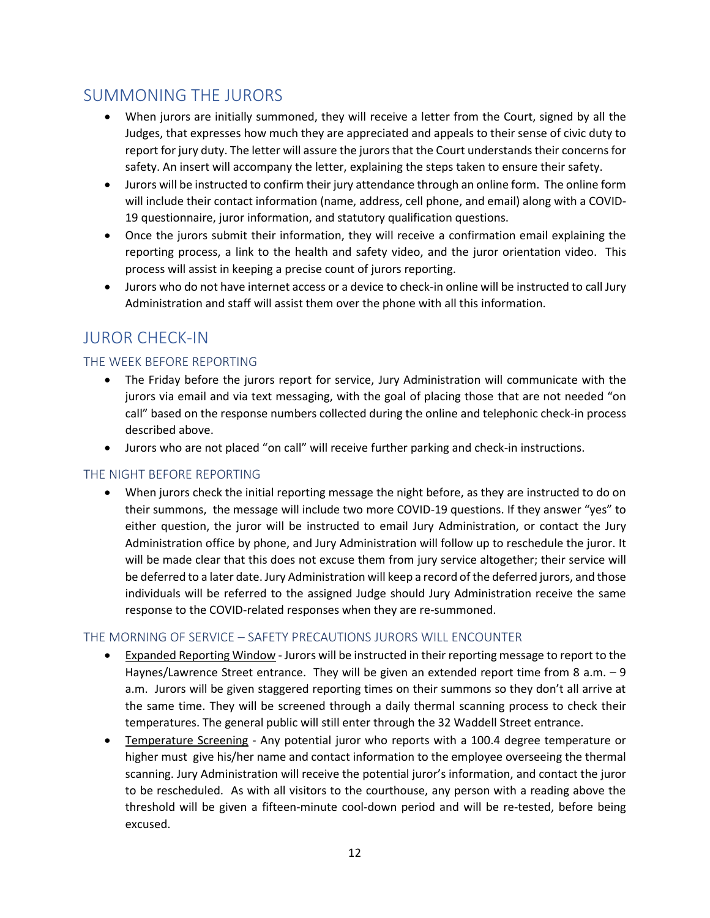### SUMMONING THE JURORS

- When jurors are initially summoned, they will receive a letter from the Court, signed by all the Judges, that expresses how much they are appreciated and appeals to their sense of civic duty to report for jury duty. The letter will assure the jurors that the Court understands their concerns for safety. An insert will accompany the letter, explaining the steps taken to ensure their safety.
- Jurors will be instructed to confirm their jury attendance through an online form. The online form will include their contact information (name, address, cell phone, and email) along with a COVID-19 questionnaire, juror information, and statutory qualification questions.
- Once the jurors submit their information, they will receive a confirmation email explaining the reporting process, a link to the health and safety video, and the juror orientation video. This process will assist in keeping a precise count of jurors reporting.
- Jurors who do not have internet access or a device to check-in online will be instructed to call Jury Administration and staff will assist them over the phone with all this information.

### JUROR CHECK-IN

#### THE WEEK BEFORE REPORTING

- The Friday before the jurors report for service, Jury Administration will communicate with the jurors via email and via text messaging, with the goal of placing those that are not needed "on call" based on the response numbers collected during the online and telephonic check-in process described above.
- Jurors who are not placed "on call" will receive further parking and check-in instructions.

#### THE NIGHT BEFORE REPORTING

• When jurors check the initial reporting message the night before, as they are instructed to do on their summons, the message will include two more COVID-19 questions. If they answer "yes" to either question, the juror will be instructed to email Jury Administration, or contact the Jury Administration office by phone, and Jury Administration will follow up to reschedule the juror. It will be made clear that this does not excuse them from jury service altogether; their service will be deferred to a later date. Jury Administration will keep a record of the deferred jurors, and those individuals will be referred to the assigned Judge should Jury Administration receive the same response to the COVID-related responses when they are re-summoned.

#### THE MORNING OF SERVICE – SAFETY PRECAUTIONS JURORS WILL ENCOUNTER

- Expanded Reporting Window Jurors will be instructed in their reporting message to report to the Haynes/Lawrence Street entrance. They will be given an extended report time from 8 a.m. – 9 a.m. Jurors will be given staggered reporting times on their summons so they don't all arrive at the same time. They will be screened through a daily thermal scanning process to check their temperatures. The general public will still enter through the 32 Waddell Street entrance.
- Temperature Screening Any potential juror who reports with a 100.4 degree temperature or higher must give his/her name and contact information to the employee overseeing the thermal scanning. Jury Administration will receive the potential juror's information, and contact the juror to be rescheduled. As with all visitors to the courthouse, any person with a reading above the threshold will be given a fifteen-minute cool-down period and will be re-tested, before being excused.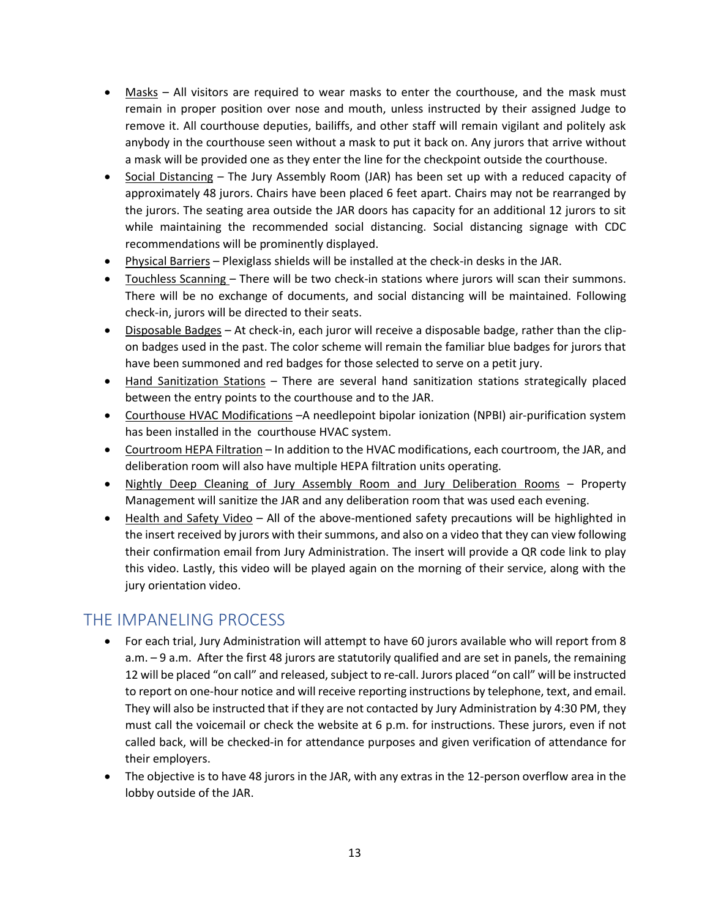- Masks All visitors are required to wear masks to enter the courthouse, and the mask must remain in proper position over nose and mouth, unless instructed by their assigned Judge to remove it. All courthouse deputies, bailiffs, and other staff will remain vigilant and politely ask anybody in the courthouse seen without a mask to put it back on. Any jurors that arrive without a mask will be provided one as they enter the line for the checkpoint outside the courthouse.
- Social Distancing The Jury Assembly Room (JAR) has been set up with a reduced capacity of approximately 48 jurors. Chairs have been placed 6 feet apart. Chairs may not be rearranged by the jurors. The seating area outside the JAR doors has capacity for an additional 12 jurors to sit while maintaining the recommended social distancing. Social distancing signage with CDC recommendations will be prominently displayed.
- Physical Barriers Plexiglass shields will be installed at the check-in desks in the JAR.
- Touchless Scanning There will be two check-in stations where jurors will scan their summons. There will be no exchange of documents, and social distancing will be maintained. Following check-in, jurors will be directed to their seats.
- Disposable Badges At check-in, each juror will receive a disposable badge, rather than the clipon badges used in the past. The color scheme will remain the familiar blue badges for jurors that have been summoned and red badges for those selected to serve on a petit jury.
- Hand Sanitization Stations There are several hand sanitization stations strategically placed between the entry points to the courthouse and to the JAR.
- Courthouse HVAC Modifications –A needlepoint bipolar ionization (NPBI) air-purification system has been installed in the courthouse HVAC system.
- Courtroom HEPA Filtration In addition to the HVAC modifications, each courtroom, the JAR, and deliberation room will also have multiple HEPA filtration units operating.
- Nightly Deep Cleaning of Jury Assembly Room and Jury Deliberation Rooms Property Management will sanitize the JAR and any deliberation room that was used each evening.
- Health and Safety Video All of the above-mentioned safety precautions will be highlighted in the insert received by jurors with their summons, and also on a video that they can view following their confirmation email from Jury Administration. The insert will provide a QR code link to play this video. Lastly, this video will be played again on the morning of their service, along with the jury orientation video.

### THE IMPANELING PROCESS

- For each trial, Jury Administration will attempt to have 60 jurors available who will report from 8 a.m. – 9 a.m. After the first 48 jurors are statutorily qualified and are set in panels, the remaining 12 will be placed "on call" and released, subject to re-call. Jurors placed "on call" will be instructed to report on one-hour notice and will receive reporting instructions by telephone, text, and email. They will also be instructed that if they are not contacted by Jury Administration by 4:30 PM, they must call the voicemail or check the website at 6 p.m. for instructions. These jurors, even if not called back, will be checked-in for attendance purposes and given verification of attendance for their employers.
- The objective is to have 48 jurors in the JAR, with any extras in the 12-person overflow area in the lobby outside of the JAR.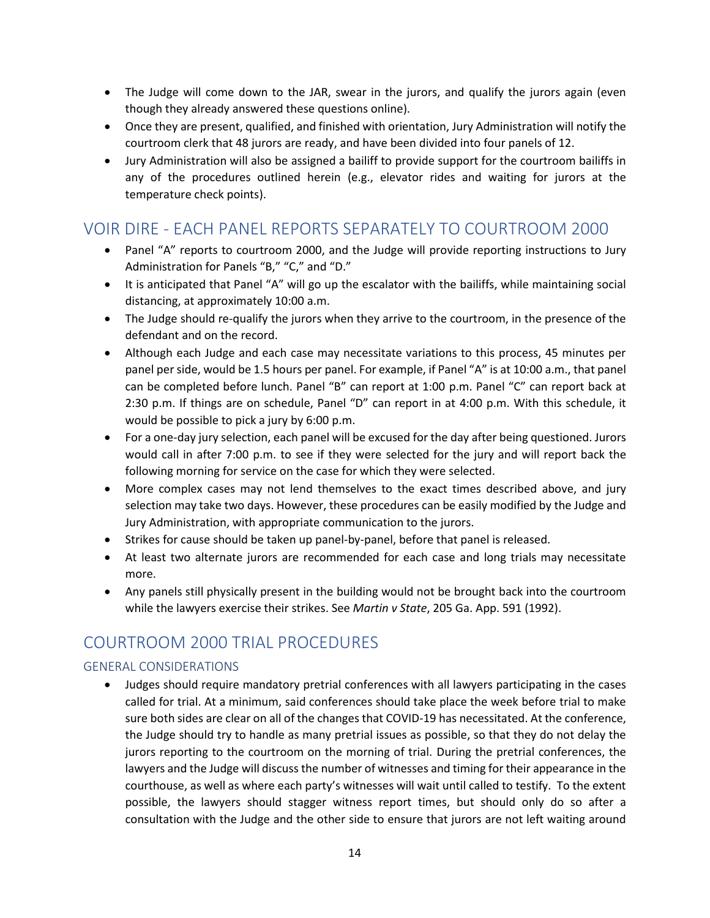- The Judge will come down to the JAR, swear in the jurors, and qualify the jurors again (even though they already answered these questions online).
- Once they are present, qualified, and finished with orientation, Jury Administration will notify the courtroom clerk that 48 jurors are ready, and have been divided into four panels of 12.
- Jury Administration will also be assigned a bailiff to provide support for the courtroom bailiffs in any of the procedures outlined herein (e.g., elevator rides and waiting for jurors at the temperature check points).

### VOIR DIRE - EACH PANEL REPORTS SEPARATELY TO COURTROOM 2000

- Panel "A" reports to courtroom 2000, and the Judge will provide reporting instructions to Jury Administration for Panels "B," "C," and "D."
- It is anticipated that Panel "A" will go up the escalator with the bailiffs, while maintaining social distancing, at approximately 10:00 a.m.
- The Judge should re-qualify the jurors when they arrive to the courtroom, in the presence of the defendant and on the record.
- Although each Judge and each case may necessitate variations to this process, 45 minutes per panel per side, would be 1.5 hours per panel. For example, if Panel "A" is at 10:00 a.m., that panel can be completed before lunch. Panel "B" can report at 1:00 p.m. Panel "C" can report back at 2:30 p.m. If things are on schedule, Panel "D" can report in at 4:00 p.m. With this schedule, it would be possible to pick a jury by 6:00 p.m.
- For a one-day jury selection, each panel will be excused for the day after being questioned. Jurors would call in after 7:00 p.m. to see if they were selected for the jury and will report back the following morning for service on the case for which they were selected.
- More complex cases may not lend themselves to the exact times described above, and jury selection may take two days. However, these procedures can be easily modified by the Judge and Jury Administration, with appropriate communication to the jurors.
- Strikes for cause should be taken up panel-by-panel, before that panel is released.
- At least two alternate jurors are recommended for each case and long trials may necessitate more.
- Any panels still physically present in the building would not be brought back into the courtroom while the lawyers exercise their strikes. See *Martin v State*, 205 Ga. App. 591 (1992).

## COURTROOM 2000 TRIAL PROCEDURES

#### GENERAL CONSIDERATIONS

• Judges should require mandatory pretrial conferences with all lawyers participating in the cases called for trial. At a minimum, said conferences should take place the week before trial to make sure both sides are clear on all of the changes that COVID-19 has necessitated. At the conference, the Judge should try to handle as many pretrial issues as possible, so that they do not delay the jurors reporting to the courtroom on the morning of trial. During the pretrial conferences, the lawyers and the Judge will discuss the number of witnesses and timing for their appearance in the courthouse, as well as where each party's witnesses will wait until called to testify. To the extent possible, the lawyers should stagger witness report times, but should only do so after a consultation with the Judge and the other side to ensure that jurors are not left waiting around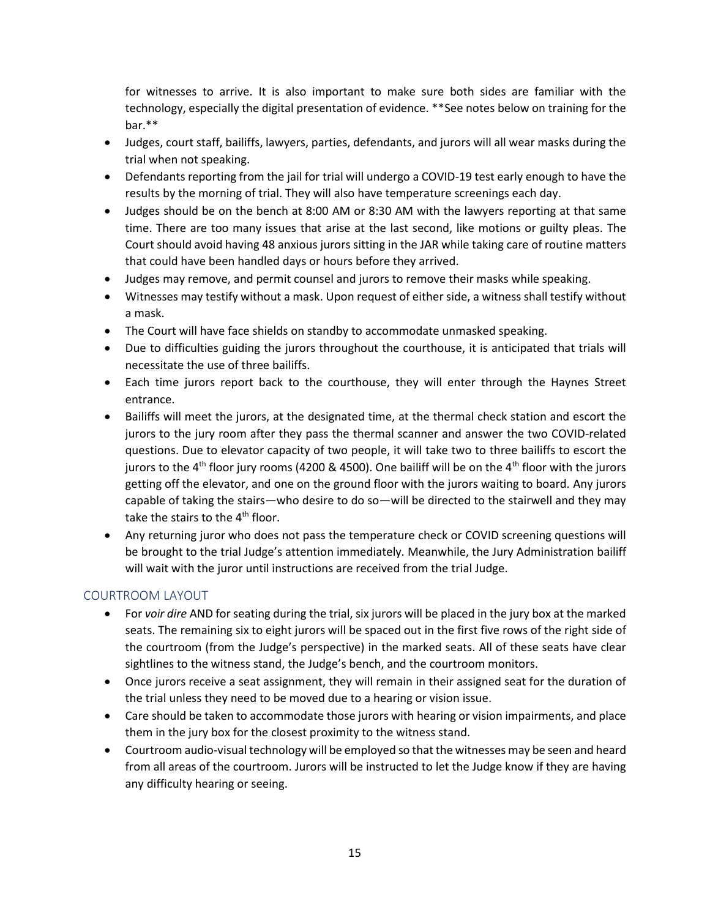for witnesses to arrive. It is also important to make sure both sides are familiar with the technology, especially the digital presentation of evidence. \*\*See notes below on training for the bar.\*\*

- Judges, court staff, bailiffs, lawyers, parties, defendants, and jurors will all wear masks during the trial when not speaking.
- Defendants reporting from the jail for trial will undergo a COVID-19 test early enough to have the results by the morning of trial. They will also have temperature screenings each day.
- Judges should be on the bench at 8:00 AM or 8:30 AM with the lawyers reporting at that same time. There are too many issues that arise at the last second, like motions or guilty pleas. The Court should avoid having 48 anxious jurors sitting in the JAR while taking care of routine matters that could have been handled days or hours before they arrived.
- Judges may remove, and permit counsel and jurors to remove their masks while speaking.
- Witnesses may testify without a mask. Upon request of either side, a witness shall testify without a mask.
- The Court will have face shields on standby to accommodate unmasked speaking.
- Due to difficulties guiding the jurors throughout the courthouse, it is anticipated that trials will necessitate the use of three bailiffs.
- Each time jurors report back to the courthouse, they will enter through the Haynes Street entrance.
- Bailiffs will meet the jurors, at the designated time, at the thermal check station and escort the jurors to the jury room after they pass the thermal scanner and answer the two COVID-related questions. Due to elevator capacity of two people, it will take two to three bailiffs to escort the jurors to the 4<sup>th</sup> floor jury rooms (4200 & 4500). One bailiff will be on the 4<sup>th</sup> floor with the jurors getting off the elevator, and one on the ground floor with the jurors waiting to board. Any jurors capable of taking the stairs—who desire to do so—will be directed to the stairwell and they may take the stairs to the 4<sup>th</sup> floor.
- Any returning juror who does not pass the temperature check or COVID screening questions will be brought to the trial Judge's attention immediately. Meanwhile, the Jury Administration bailiff will wait with the juror until instructions are received from the trial Judge.

#### COURTROOM LAYOUT

- For *voir dire* AND for seating during the trial, six jurors will be placed in the jury box at the marked seats. The remaining six to eight jurors will be spaced out in the first five rows of the right side of the courtroom (from the Judge's perspective) in the marked seats. All of these seats have clear sightlines to the witness stand, the Judge's bench, and the courtroom monitors.
- Once jurors receive a seat assignment, they will remain in their assigned seat for the duration of the trial unless they need to be moved due to a hearing or vision issue.
- Care should be taken to accommodate those jurors with hearing or vision impairments, and place them in the jury box for the closest proximity to the witness stand.
- Courtroom audio-visual technology will be employed so that the witnesses may be seen and heard from all areas of the courtroom. Jurors will be instructed to let the Judge know if they are having any difficulty hearing or seeing.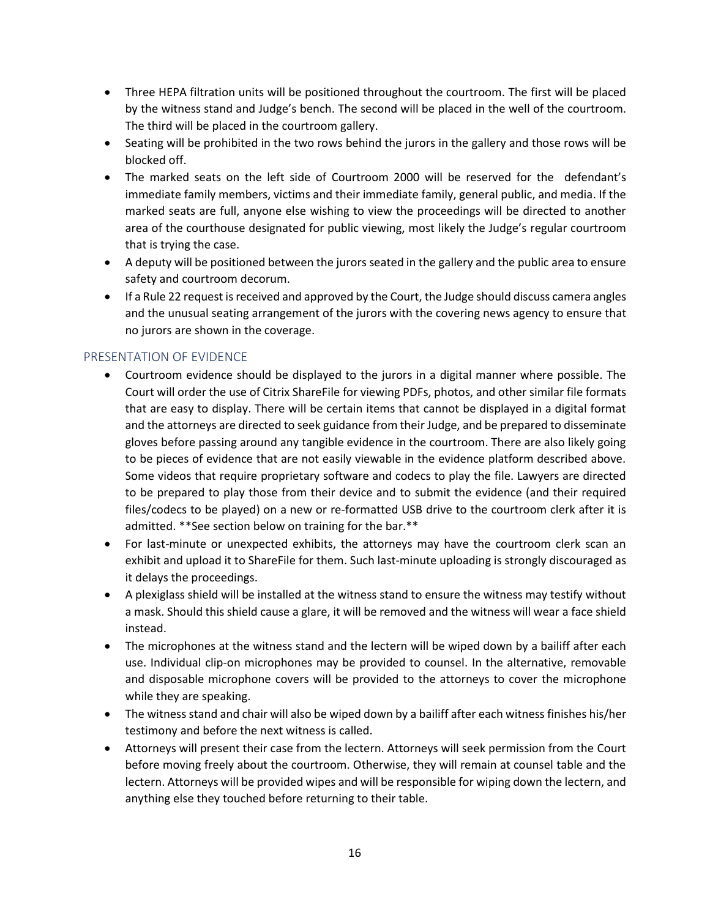- Three HEPA filtration units will be positioned throughout the courtroom. The first will be placed by the witness stand and Judge's bench. The second will be placed in the well of the courtroom. The third will be placed in the courtroom gallery.
- Seating will be prohibited in the two rows behind the jurors in the gallery and those rows will be blocked off.
- The marked seats on the left side of Courtroom 2000 will be reserved for the defendant's immediate family members, victims and their immediate family, general public, and media. If the marked seats are full, anyone else wishing to view the proceedings will be directed to another area of the courthouse designated for public viewing, most likely the Judge's regular courtroom that is trying the case.
- A deputy will be positioned between the jurors seated in the gallery and the public area to ensure safety and courtroom decorum.
- If a Rule 22 request is received and approved by the Court, the Judge should discuss camera angles and the unusual seating arrangement of the jurors with the covering news agency to ensure that no jurors are shown in the coverage.

#### PRESENTATION OF EVIDENCE

- Courtroom evidence should be displayed to the jurors in a digital manner where possible. The Court will order the use of Citrix ShareFile for viewing PDFs, photos, and other similar file formats that are easy to display. There will be certain items that cannot be displayed in a digital format and the attorneys are directed to seek guidance from their Judge, and be prepared to disseminate gloves before passing around any tangible evidence in the courtroom. There are also likely going to be pieces of evidence that are not easily viewable in the evidence platform described above. Some videos that require proprietary software and codecs to play the file. Lawyers are directed to be prepared to play those from their device and to submit the evidence (and their required files/codecs to be played) on a new or re-formatted USB drive to the courtroom clerk after it is admitted. \*\*See section below on training for the bar.\*\*
- For last-minute or unexpected exhibits, the attorneys may have the courtroom clerk scan an exhibit and upload it to ShareFile for them. Such last-minute uploading is strongly discouraged as it delays the proceedings.
- A plexiglass shield will be installed at the witness stand to ensure the witness may testify without a mask. Should this shield cause a glare, it will be removed and the witness will wear a face shield instead.
- The microphones at the witness stand and the lectern will be wiped down by a bailiff after each use. Individual clip-on microphones may be provided to counsel. In the alternative, removable and disposable microphone covers will be provided to the attorneys to cover the microphone while they are speaking.
- The witness stand and chair will also be wiped down by a bailiff after each witness finishes his/her testimony and before the next witness is called.
- Attorneys will present their case from the lectern. Attorneys will seek permission from the Court before moving freely about the courtroom. Otherwise, they will remain at counsel table and the lectern. Attorneys will be provided wipes and will be responsible for wiping down the lectern, and anything else they touched before returning to their table.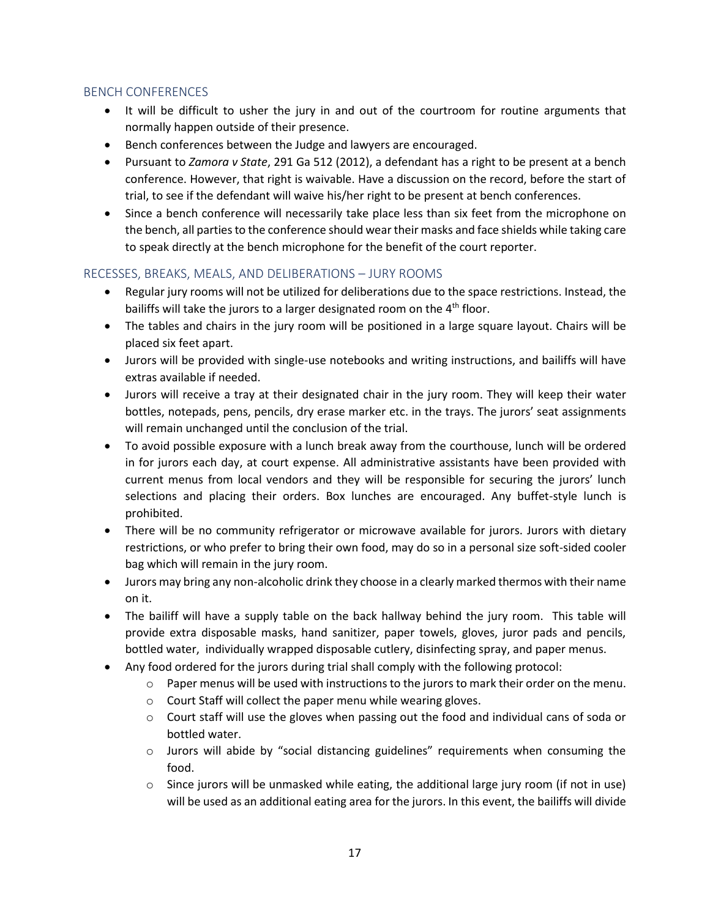#### BENCH CONFERENCES

- It will be difficult to usher the jury in and out of the courtroom for routine arguments that normally happen outside of their presence.
- Bench conferences between the Judge and lawyers are encouraged.
- Pursuant to *Zamora v State*, 291 Ga 512 (2012), a defendant has a right to be present at a bench conference. However, that right is waivable. Have a discussion on the record, before the start of trial, to see if the defendant will waive his/her right to be present at bench conferences.
- Since a bench conference will necessarily take place less than six feet from the microphone on the bench, all parties to the conference should wear their masks and face shields while taking care to speak directly at the bench microphone for the benefit of the court reporter.

#### RECESSES, BREAKS, MEALS, AND DELIBERATIONS – JURY ROOMS

- Regular jury rooms will not be utilized for deliberations due to the space restrictions. Instead, the bailiffs will take the jurors to a larger designated room on the  $4<sup>th</sup>$  floor.
- The tables and chairs in the jury room will be positioned in a large square layout. Chairs will be placed six feet apart.
- Jurors will be provided with single-use notebooks and writing instructions, and bailiffs will have extras available if needed.
- Jurors will receive a tray at their designated chair in the jury room. They will keep their water bottles, notepads, pens, pencils, dry erase marker etc. in the trays. The jurors' seat assignments will remain unchanged until the conclusion of the trial.
- To avoid possible exposure with a lunch break away from the courthouse, lunch will be ordered in for jurors each day, at court expense. All administrative assistants have been provided with current menus from local vendors and they will be responsible for securing the jurors' lunch selections and placing their orders. Box lunches are encouraged. Any buffet-style lunch is prohibited.
- There will be no community refrigerator or microwave available for jurors. Jurors with dietary restrictions, or who prefer to bring their own food, may do so in a personal size soft-sided cooler bag which will remain in the jury room.
- Jurors may bring any non-alcoholic drink they choose in a clearly marked thermos with their name on it.
- The bailiff will have a supply table on the back hallway behind the jury room. This table will provide extra disposable masks, hand sanitizer, paper towels, gloves, juror pads and pencils, bottled water, individually wrapped disposable cutlery, disinfecting spray, and paper menus.
- Any food ordered for the jurors during trial shall comply with the following protocol:
	- $\circ$  Paper menus will be used with instructions to the jurors to mark their order on the menu.
	- o Court Staff will collect the paper menu while wearing gloves.
	- o Court staff will use the gloves when passing out the food and individual cans of soda or bottled water.
	- o Jurors will abide by "social distancing guidelines" requirements when consuming the food.
	- $\circ$  Since jurors will be unmasked while eating, the additional large jury room (if not in use) will be used as an additional eating area for the jurors. In this event, the bailiffs will divide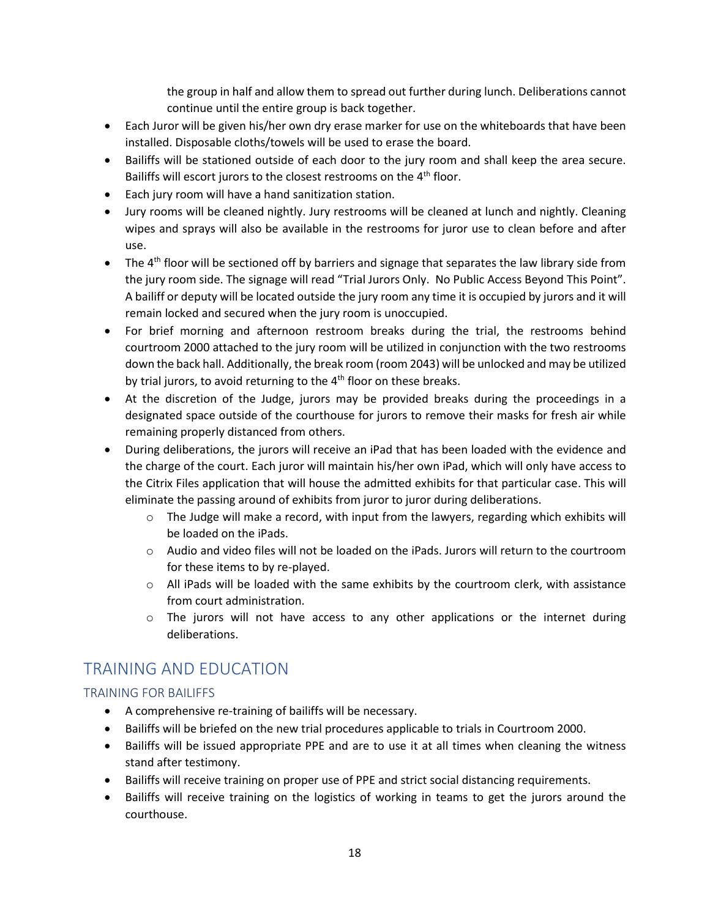the group in half and allow them to spread out further during lunch. Deliberations cannot continue until the entire group is back together.

- Each Juror will be given his/her own dry erase marker for use on the whiteboards that have been installed. Disposable cloths/towels will be used to erase the board.
- Bailiffs will be stationed outside of each door to the jury room and shall keep the area secure. Bailiffs will escort jurors to the closest restrooms on the 4<sup>th</sup> floor.
- Each jury room will have a hand sanitization station.
- Jury rooms will be cleaned nightly. Jury restrooms will be cleaned at lunch and nightly. Cleaning wipes and sprays will also be available in the restrooms for juror use to clean before and after use.
- The  $4<sup>th</sup>$  floor will be sectioned off by barriers and signage that separates the law library side from the jury room side. The signage will read "Trial Jurors Only. No Public Access Beyond This Point". A bailiff or deputy will be located outside the jury room any time it is occupied by jurors and it will remain locked and secured when the jury room is unoccupied.
- For brief morning and afternoon restroom breaks during the trial, the restrooms behind courtroom 2000 attached to the jury room will be utilized in conjunction with the two restrooms down the back hall. Additionally, the break room (room 2043) will be unlocked and may be utilized by trial jurors, to avoid returning to the  $4<sup>th</sup>$  floor on these breaks.
- At the discretion of the Judge, jurors may be provided breaks during the proceedings in a designated space outside of the courthouse for jurors to remove their masks for fresh air while remaining properly distanced from others.
- During deliberations, the jurors will receive an iPad that has been loaded with the evidence and the charge of the court. Each juror will maintain his/her own iPad, which will only have access to the Citrix Files application that will house the admitted exhibits for that particular case. This will eliminate the passing around of exhibits from juror to juror during deliberations.
	- $\circ$  The Judge will make a record, with input from the lawyers, regarding which exhibits will be loaded on the iPads.
	- o Audio and video files will not be loaded on the iPads. Jurors will return to the courtroom for these items to by re-played.
	- $\circ$  All iPads will be loaded with the same exhibits by the courtroom clerk, with assistance from court administration.
	- $\circ$  The jurors will not have access to any other applications or the internet during deliberations.

### TRAINING AND EDUCATION

#### TRAINING FOR BAILIFFS

- A comprehensive re-training of bailiffs will be necessary.
- Bailiffs will be briefed on the new trial procedures applicable to trials in Courtroom 2000.
- Bailiffs will be issued appropriate PPE and are to use it at all times when cleaning the witness stand after testimony.
- Bailiffs will receive training on proper use of PPE and strict social distancing requirements.
- Bailiffs will receive training on the logistics of working in teams to get the jurors around the courthouse.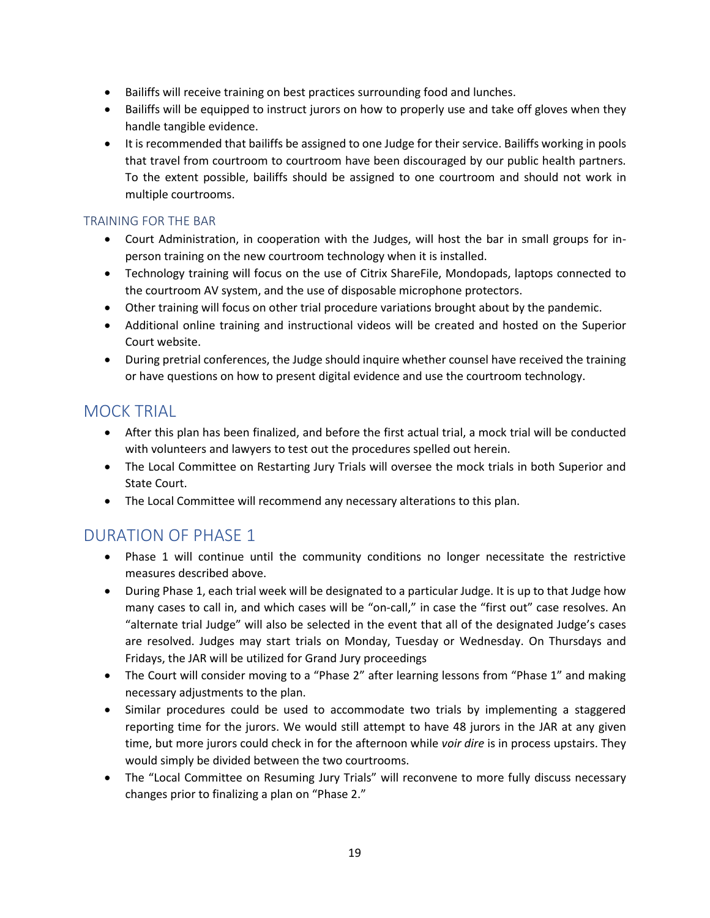- Bailiffs will receive training on best practices surrounding food and lunches.
- Bailiffs will be equipped to instruct jurors on how to properly use and take off gloves when they handle tangible evidence.
- It is recommended that bailiffs be assigned to one Judge for their service. Bailiffs working in pools that travel from courtroom to courtroom have been discouraged by our public health partners. To the extent possible, bailiffs should be assigned to one courtroom and should not work in multiple courtrooms.

#### TRAINING FOR THE BAR

- Court Administration, in cooperation with the Judges, will host the bar in small groups for inperson training on the new courtroom technology when it is installed.
- Technology training will focus on the use of Citrix ShareFile, Mondopads, laptops connected to the courtroom AV system, and the use of disposable microphone protectors.
- Other training will focus on other trial procedure variations brought about by the pandemic.
- Additional online training and instructional videos will be created and hosted on the Superior Court website.
- During pretrial conferences, the Judge should inquire whether counsel have received the training or have questions on how to present digital evidence and use the courtroom technology.

### MOCK TRIAL

- After this plan has been finalized, and before the first actual trial, a mock trial will be conducted with volunteers and lawyers to test out the procedures spelled out herein.
- The Local Committee on Restarting Jury Trials will oversee the mock trials in both Superior and State Court.
- The Local Committee will recommend any necessary alterations to this plan.

### DURATION OF PHASE 1

- Phase 1 will continue until the community conditions no longer necessitate the restrictive measures described above.
- During Phase 1, each trial week will be designated to a particular Judge. It is up to that Judge how many cases to call in, and which cases will be "on-call," in case the "first out" case resolves. An "alternate trial Judge" will also be selected in the event that all of the designated Judge's cases are resolved. Judges may start trials on Monday, Tuesday or Wednesday. On Thursdays and Fridays, the JAR will be utilized for Grand Jury proceedings
- The Court will consider moving to a "Phase 2" after learning lessons from "Phase 1" and making necessary adjustments to the plan.
- Similar procedures could be used to accommodate two trials by implementing a staggered reporting time for the jurors. We would still attempt to have 48 jurors in the JAR at any given time, but more jurors could check in for the afternoon while *voir dire* is in process upstairs. They would simply be divided between the two courtrooms.
- The "Local Committee on Resuming Jury Trials" will reconvene to more fully discuss necessary changes prior to finalizing a plan on "Phase 2."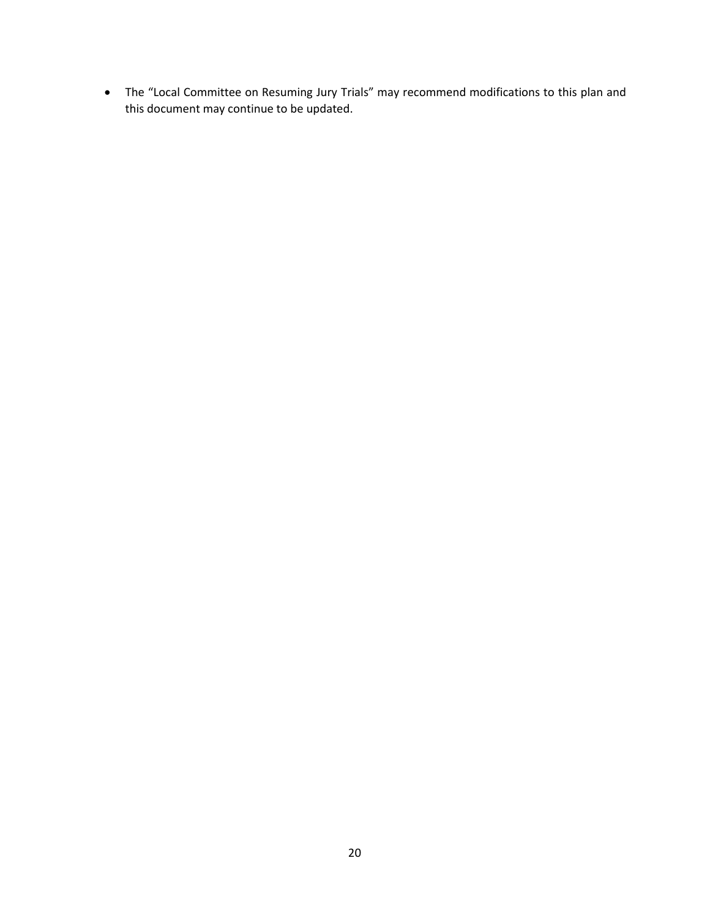• The "Local Committee on Resuming Jury Trials" may recommend modifications to this plan and this document may continue to be updated.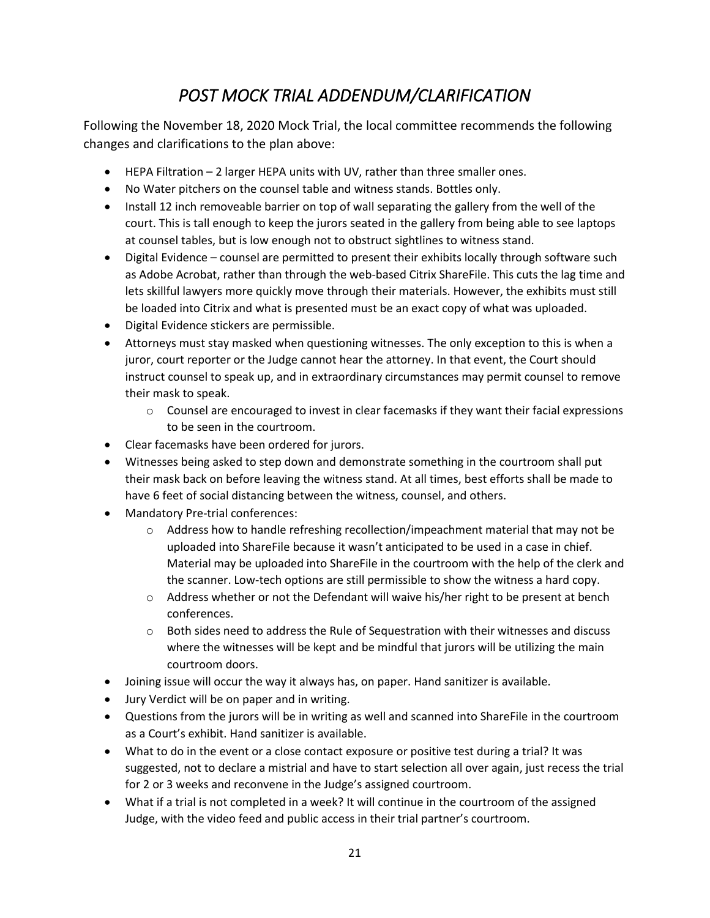# *POST MOCK TRIAL ADDENDUM/CLARIFICATION*

Following the November 18, 2020 Mock Trial, the local committee recommends the following changes and clarifications to the plan above:

- HEPA Filtration 2 larger HEPA units with UV, rather than three smaller ones.
- No Water pitchers on the counsel table and witness stands. Bottles only.
- Install 12 inch removeable barrier on top of wall separating the gallery from the well of the court. This is tall enough to keep the jurors seated in the gallery from being able to see laptops at counsel tables, but is low enough not to obstruct sightlines to witness stand.
- Digital Evidence counsel are permitted to present their exhibits locally through software such as Adobe Acrobat, rather than through the web-based Citrix ShareFile. This cuts the lag time and lets skillful lawyers more quickly move through their materials. However, the exhibits must still be loaded into Citrix and what is presented must be an exact copy of what was uploaded.
- Digital Evidence stickers are permissible.
- Attorneys must stay masked when questioning witnesses. The only exception to this is when a juror, court reporter or the Judge cannot hear the attorney. In that event, the Court should instruct counsel to speak up, and in extraordinary circumstances may permit counsel to remove their mask to speak.
	- $\circ$  Counsel are encouraged to invest in clear facemasks if they want their facial expressions to be seen in the courtroom.
- Clear facemasks have been ordered for jurors.
- Witnesses being asked to step down and demonstrate something in the courtroom shall put their mask back on before leaving the witness stand. At all times, best efforts shall be made to have 6 feet of social distancing between the witness, counsel, and others.
- Mandatory Pre-trial conferences:
	- $\circ$  Address how to handle refreshing recollection/impeachment material that may not be uploaded into ShareFile because it wasn't anticipated to be used in a case in chief. Material may be uploaded into ShareFile in the courtroom with the help of the clerk and the scanner. Low-tech options are still permissible to show the witness a hard copy.
	- $\circ$  Address whether or not the Defendant will waive his/her right to be present at bench conferences.
	- $\circ$  Both sides need to address the Rule of Sequestration with their witnesses and discuss where the witnesses will be kept and be mindful that jurors will be utilizing the main courtroom doors.
- Joining issue will occur the way it always has, on paper. Hand sanitizer is available.
- Jury Verdict will be on paper and in writing.
- Questions from the jurors will be in writing as well and scanned into ShareFile in the courtroom as a Court's exhibit. Hand sanitizer is available.
- What to do in the event or a close contact exposure or positive test during a trial? It was suggested, not to declare a mistrial and have to start selection all over again, just recess the trial for 2 or 3 weeks and reconvene in the Judge's assigned courtroom.
- What if a trial is not completed in a week? It will continue in the courtroom of the assigned Judge, with the video feed and public access in their trial partner's courtroom.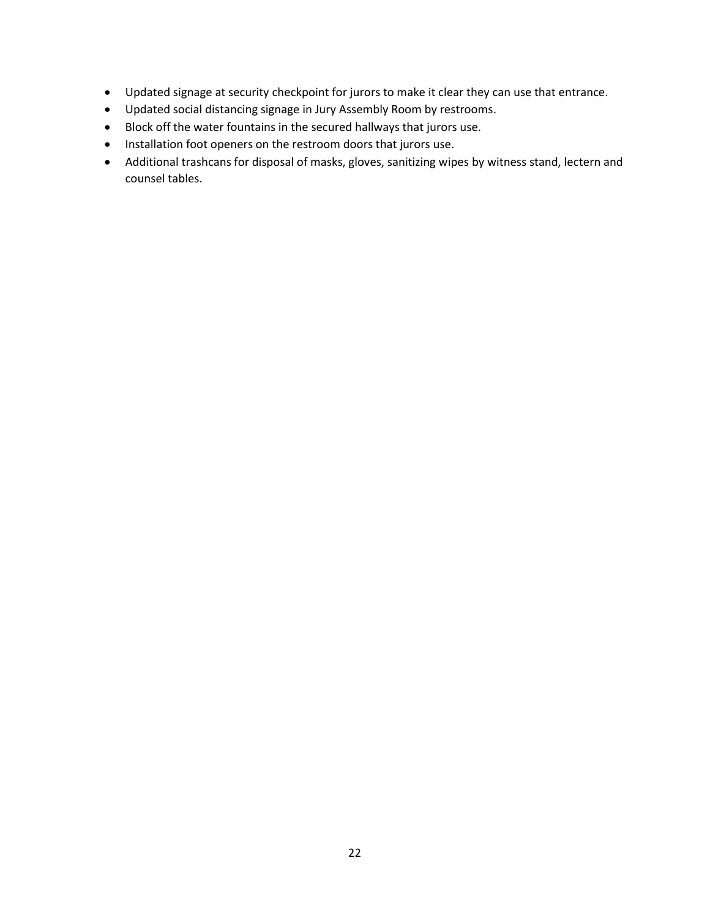- Updated signage at security checkpoint for jurors to make it clear they can use that entrance.
- Updated social distancing signage in Jury Assembly Room by restrooms.
- Block off the water fountains in the secured hallways that jurors use.
- Installation foot openers on the restroom doors that jurors use.
- Additional trashcans for disposal of masks, gloves, sanitizing wipes by witness stand, lectern and counsel tables.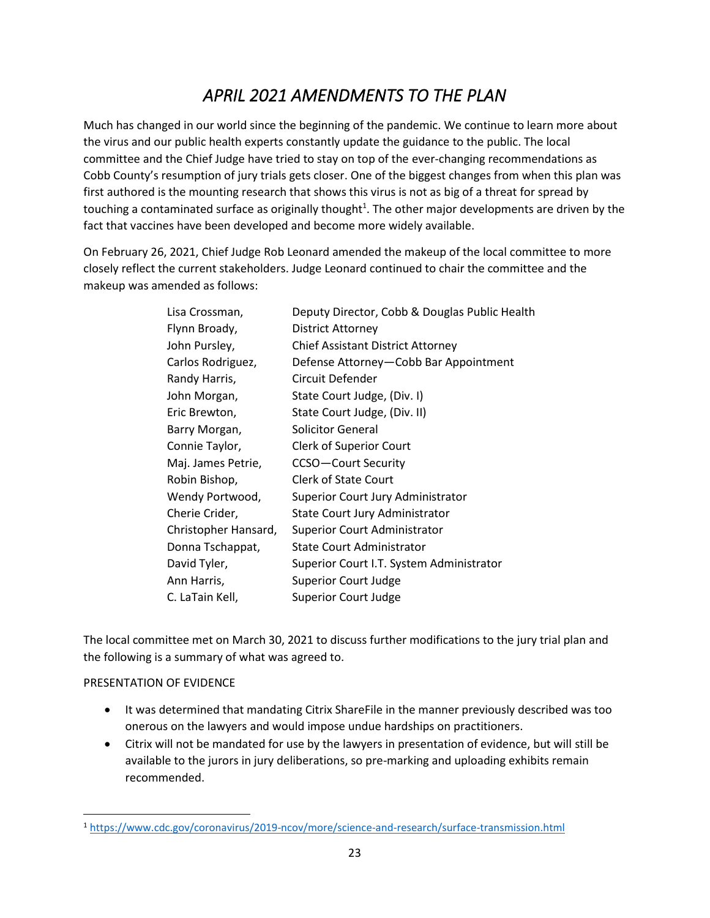# *APRIL 2021 AMENDMENTS TO THE PLAN*

Much has changed in our world since the beginning of the pandemic. We continue to learn more about the virus and our public health experts constantly update the guidance to the public. The local committee and the Chief Judge have tried to stay on top of the ever-changing recommendations as Cobb County's resumption of jury trials gets closer. One of the biggest changes from when this plan was first authored is the mounting research that shows this virus is not as big of a threat for spread by touching a contaminated surface as originally thought<sup>1</sup>. The other major developments are driven by the fact that vaccines have been developed and become more widely available.

On February 26, 2021, Chief Judge Rob Leonard amended the makeup of the local committee to more closely reflect the current stakeholders. Judge Leonard continued to chair the committee and the makeup was amended as follows:

| Lisa Crossman,       | Deputy Director, Cobb & Douglas Public Health |
|----------------------|-----------------------------------------------|
| Flynn Broady,        | District Attorney                             |
| John Pursley,        | <b>Chief Assistant District Attorney</b>      |
| Carlos Rodriguez,    | Defense Attorney-Cobb Bar Appointment         |
| Randy Harris,        | Circuit Defender                              |
| John Morgan,         | State Court Judge, (Div. I)                   |
| Eric Brewton,        | State Court Judge, (Div. II)                  |
| Barry Morgan,        | <b>Solicitor General</b>                      |
| Connie Taylor,       | <b>Clerk of Superior Court</b>                |
| Maj. James Petrie,   | <b>CCSO-Court Security</b>                    |
| Robin Bishop,        | <b>Clerk of State Court</b>                   |
| Wendy Portwood,      | Superior Court Jury Administrator             |
| Cherie Crider,       | State Court Jury Administrator                |
| Christopher Hansard, | <b>Superior Court Administrator</b>           |
| Donna Tschappat,     | <b>State Court Administrator</b>              |
| David Tyler,         | Superior Court I.T. System Administrator      |
| Ann Harris,          | <b>Superior Court Judge</b>                   |
| C. LaTain Kell,      | <b>Superior Court Judge</b>                   |

The local committee met on March 30, 2021 to discuss further modifications to the jury trial plan and the following is a summary of what was agreed to.

#### PRESENTATION OF EVIDENCE

- It was determined that mandating Citrix ShareFile in the manner previously described was too onerous on the lawyers and would impose undue hardships on practitioners.
- Citrix will not be mandated for use by the lawyers in presentation of evidence, but will still be available to the jurors in jury deliberations, so pre-marking and uploading exhibits remain recommended.

<sup>1</sup> https://www.cdc.gov/coronavirus/2019-ncov/more/science-and-research/surface-transmission.html